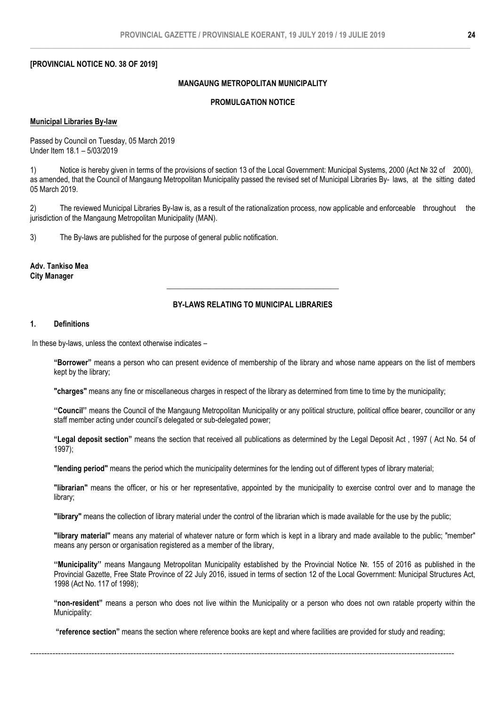## **[PROVINCIAL NOTICE NO. 38 OF 2019]**

## **MANGAUNG METROPOLITAN MUNICIPALITY**

# **PROMULGATION NOTICE**

## **Municipal Libraries By-law**

Passed by Council on Tuesday, 05 March 2019 Under Item 18.1 – 5/03/2019

1) Notice is hereby given in terms of the provisions of section 13 of the Local Government: Municipal Systems, 2000 (Act № 32 of 2000), as amended, that the Council of Mangaung Metropolitan Municipality passed the revised set of Municipal Libraries By- laws, at the sitting dated 05 March 2019.

2) The reviewed Municipal Libraries By-law is, as a result of the rationalization process, now applicable and enforceable throughout the jurisdiction of the Mangaung Metropolitan Municipality (MAN).

3) The By-laws are published for the purpose of general public notification.

**Adv. Tankiso Mea City Manager**

## **BY-LAWS RELATING TO MUNICIPAL LIBRARIES**

**\_\_\_\_\_\_\_\_\_\_\_\_\_\_\_\_\_\_\_\_\_\_\_\_\_\_\_\_\_\_\_\_\_\_\_\_\_\_\_\_\_\_\_\_\_**

### **1. Definitions**

In these by-laws, unless the context otherwise indicates –

**"Borrower"** means a person who can present evidence of membership of the library and whose name appears on the list of members kept by the library;

**"charges"** means any fine or miscellaneous charges in respect of the library as determined from time to time by the municipality;

**''Council''** means the Council of the Mangaung Metropolitan Municipality or any political structure, political office bearer, councillor or any staff member acting under council's delegated or sub-delegated power;

**"Legal deposit section"** means the section that received all publications as determined by the Legal Deposit Act , 1997 ( Act No. 54 of 1997);

**"lending period"** means the period which the municipality determines for the lending out of different types of library material;

**"librarian"** means the officer, or his or her representative, appointed by the municipality to exercise control over and to manage the library;

**"library"** means the collection of library material under the control of the librarian which is made available for the use by the public;

**"library material"** means any material of whatever nature or form which is kept in a library and made available to the public; "member" means any person or organisation registered as a member of the library,

**''Municipality''** means Mangaung Metropolitan Municipality established by the Provincial Notice №. 155 of 2016 as published in the Provincial Gazette, Free State Province of 22 July 2016, issued in terms of section 12 of the Local Government: Municipal Structures Act, 1998 (Act No. 117 of 1998);

**"non-resident"** means a person who does not live within the Municipality or a person who does not own ratable property within the Municipality:

**"reference section"** means the section where reference books are kept and where facilities are provided for study and reading;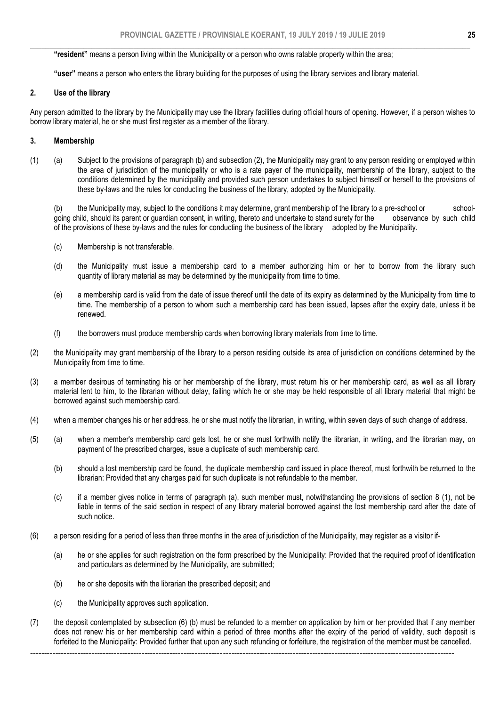## **"resident"** means a person living within the Municipality or a person who owns ratable property within the area;

**"user"** means a person who enters the library building for the purposes of using the library services and library material.

### **2. Use of the library**

Any person admitted to the library by the Municipality may use the library facilities during official hours of opening. However, if a person wishes to borrow library material, he or she must first register as a member of the library.

### **3. Membership**

(1) (a) Subject to the provisions of paragraph (b) and subsection (2), the Municipality may grant to any person residing or employed within the area of jurisdiction of the municipality or who is a rate payer of the municipality, membership of the library, subject to the conditions determined by the municipality and provided such person undertakes to subject himself or herself to the provisions of these by-laws and the rules for conducting the business of the library, adopted by the Municipality.

(b) the Municipality may, subject to the conditions it may determine, grant membership of the library to a pre-school or schoolgoing child, should its parent or guardian consent, in writing, thereto and undertake to stand surety for the observance by such child of the provisions of these by-laws and the rules for conducting the business of the library adopted by the Municipality.

- (c) Membership is not transferable.
- (d) the Municipality must issue a membership card to a member authorizing him or her to borrow from the library such quantity of library material as may be determined by the municipality from time to time.
- (e) a membership card is valid from the date of issue thereof until the date of its expiry as determined by the Municipality from time to time. The membership of a person to whom such a membership card has been issued, lapses after the expiry date, unless it be renewed.
- (f) the borrowers must produce membership cards when borrowing library materials from time to time.
- (2) the Municipality may grant membership of the library to a person residing outside its area of jurisdiction on conditions determined by the Municipality from time to time.
- (3) a member desirous of terminating his or her membership of the library, must return his or her membership card, as well as all library material lent to him, to the librarian without delay, failing which he or she may be held responsible of all library material that might be borrowed against such membership card.
- (4) when a member changes his or her address, he or she must notify the librarian, in writing, within seven days of such change of address.
- (5) (a) when a member's membership card gets lost, he or she must forthwith notify the librarian, in writing, and the librarian may, on payment of the prescribed charges, issue a duplicate of such membership card.
	- (b) should a lost membership card be found, the duplicate membership card issued in place thereof, must forthwith be returned to the librarian: Provided that any charges paid for such duplicate is not refundable to the member.
	- (c) if a member gives notice in terms of paragraph (a), such member must, notwithstanding the provisions of section 8 (1), not be liable in terms of the said section in respect of any library material borrowed against the lost membership card after the date of such notice.
- (6) a person residing for a period of less than three months in the area of jurisdiction of the Municipality, may register as a visitor if-
	- (a) he or she applies for such registration on the form prescribed by the Municipality: Provided that the required proof of identification and particulars as determined by the Municipality, are submitted;
	- (b) he or she deposits with the librarian the prescribed deposit; and
	- (c) the Municipality approves such application.
- (7) the deposit contemplated by subsection (6) (b) must be refunded to a member on application by him or her provided that if any member does not renew his or her membership card within a period of three months after the expiry of the period of validity, such deposit is forfeited to the Municipality: Provided further that upon any such refunding or forfeiture, the registration of the member must be cancelled.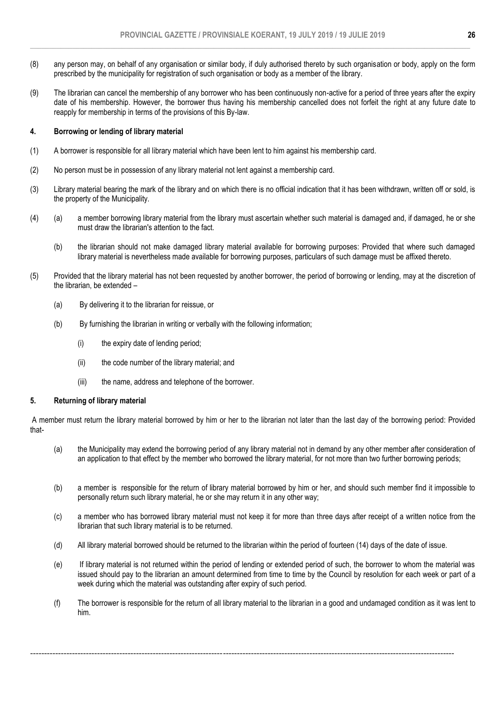- (8) any person may, on behalf of any organisation or similar body, if duly authorised thereto by such organisation or body, apply on the form prescribed by the municipality for registration of such organisation or body as a member of the library.
- (9) The librarian can cancel the membership of any borrower who has been continuously non-active for a period of three years after the expiry date of his membership. However, the borrower thus having his membership cancelled does not forfeit the right at any future date to reapply for membership in terms of the provisions of this By-law.

## **4. Borrowing or lending of library material**

- (1) A borrower is responsible for all library material which have been lent to him against his membership card.
- (2) No person must be in possession of any library material not lent against a membership card.
- (3) Library material bearing the mark of the library and on which there is no official indication that it has been withdrawn, written off or sold, is the property of the Municipality.
- (4) (a) a member borrowing library material from the library must ascertain whether such material is damaged and, if damaged, he or she must draw the librarian's attention to the fact.
	- (b) the librarian should not make damaged library material available for borrowing purposes: Provided that where such damaged library material is nevertheless made available for borrowing purposes, particulars of such damage must be affixed thereto.
- (5) Provided that the library material has not been requested by another borrower, the period of borrowing or lending, may at the discretion of the librarian, be extended –
	- (a) By delivering it to the librarian for reissue, or
	- (b) By furnishing the librarian in writing or verbally with the following information;
		- (i) the expiry date of lending period;
		- (ii) the code number of the library material; and
		- (iii) the name, address and telephone of the borrower.

## **5. Returning of library material**

A member must return the library material borrowed by him or her to the librarian not later than the last day of the borrowing period: Provided that-

- (a) the Municipality may extend the borrowing period of any library material not in demand by any other member after consideration of an application to that effect by the member who borrowed the library material, for not more than two further borrowing periods;
- (b) a member is responsible for the return of library material borrowed by him or her, and should such member find it impossible to personally return such library material, he or she may return it in any other way;
- (c) a member who has borrowed library material must not keep it for more than three days after receipt of a written notice from the librarian that such library material is to be returned.
- (d) All library material borrowed should be returned to the librarian within the period of fourteen (14) days of the date of issue.
- (e) If library material is not returned within the period of lending or extended period of such, the borrower to whom the material was issued should pay to the librarian an amount determined from time to time by the Council by resolution for each week or part of a week during which the material was outstanding after expiry of such period.
- (f) The borrower is responsible for the return of all library material to the librarian in a good and undamaged condition as it was lent to him.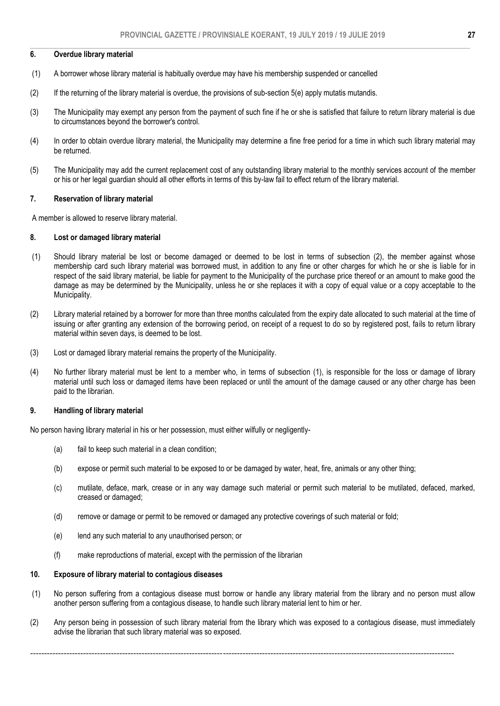#### $\_$  , and the set of the set of the set of the set of the set of the set of the set of the set of the set of the set of the set of the set of the set of the set of the set of the set of the set of the set of the set of th **6. Overdue library material**

- (1) A borrower whose library material is habitually overdue may have his membership suspended or cancelled
- (2) If the returning of the library material is overdue, the provisions of sub-section 5(e) apply mutatis mutandis.
- (3) The Municipality may exempt any person from the payment of such fine if he or she is satisfied that failure to return library material is due to circumstances beyond the borrower's control.
- (4) In order to obtain overdue library material, the Municipality may determine a fine free period for a time in which such library material may be returned.
- (5) The Municipality may add the current replacement cost of any outstanding library material to the monthly services account of the member or his or her legal guardian should all other efforts in terms of this by-law fail to effect return of the library material.

### **7. Reservation of library material**

A member is allowed to reserve library material.

### **8. Lost or damaged library material**

- (1) Should library material be lost or become damaged or deemed to be lost in terms of subsection (2), the member against whose membership card such library material was borrowed must, in addition to any fine or other charges for which he or she is liable for in respect of the said library material, be liable for payment to the Municipality of the purchase price thereof or an amount to make good the damage as may be determined by the Municipality, unless he or she replaces it with a copy of equal value or a copy acceptable to the Municipality.
- (2) Library material retained by a borrower for more than three months calculated from the expiry date allocated to such material at the time of issuing or after granting any extension of the borrowing period, on receipt of a request to do so by registered post, fails to return library material within seven days, is deemed to be lost.
- (3) Lost or damaged library material remains the property of the Municipality.
- (4) No further library material must be lent to a member who, in terms of subsection (1), is responsible for the loss or damage of library material until such loss or damaged items have been replaced or until the amount of the damage caused or any other charge has been paid to the librarian.

#### **9. Handling of library material**

No person having library material in his or her possession, must either wilfully or negligently-

- (a) fail to keep such material in a clean condition;
- (b) expose or permit such material to be exposed to or be damaged by water, heat, fire, animals or any other thing;
- (c) mutilate, deface, mark, crease or in any way damage such material or permit such material to be mutilated, defaced, marked, creased or damaged;
- (d) remove or damage or permit to be removed or damaged any protective coverings of such material or fold;
- (e) lend any such material to any unauthorised person; or
- (f) make reproductions of material, except with the permission of the librarian

## **10. Exposure of library material to contagious diseases**

- (1) No person suffering from a contagious disease must borrow or handle any library material from the library and no person must allow another person suffering from a contagious disease, to handle such library material lent to him or her.
- (2) Any person being in possession of such library material from the library which was exposed to a contagious disease, must immediately advise the librarian that such library material was so exposed.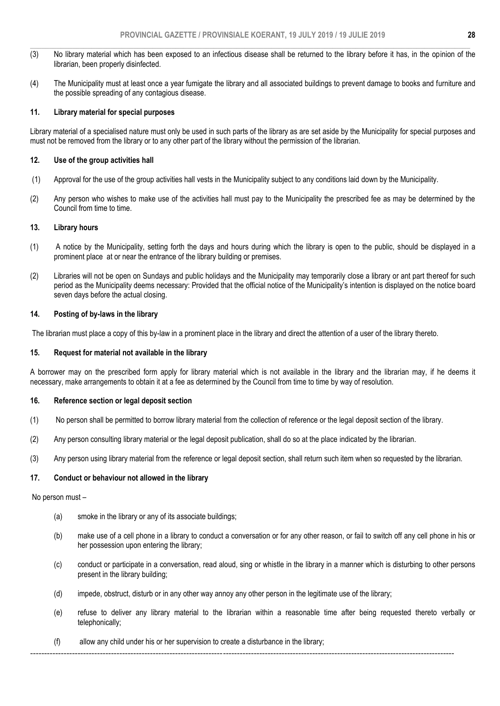- (3) No library material which has been exposed to an infectious disease shall be returned to the library before it has, in the opinion of the librarian, been properly disinfected.
- (4) The Municipality must at least once a year fumigate the library and all associated buildings to prevent damage to books and furniture and the possible spreading of any contagious disease.

## **11. Library material for special purposes**

Library material of a specialised nature must only be used in such parts of the library as are set aside by the Municipality for special purposes and must not be removed from the library or to any other part of the library without the permission of the librarian.

## **12. Use of the group activities hall**

- (1) Approval for the use of the group activities hall vests in the Municipality subject to any conditions laid down by the Municipality.
- (2) Any person who wishes to make use of the activities hall must pay to the Municipality the prescribed fee as may be determined by the Council from time to time.

## **13. Library hours**

- (1) A notice by the Municipality, setting forth the days and hours during which the library is open to the public, should be displayed in a prominent place at or near the entrance of the library building or premises.
- (2) Libraries will not be open on Sundays and public holidays and the Municipality may temporarily close a library or ant part thereof for such period as the Municipality deems necessary: Provided that the official notice of the Municipality's intention is displayed on the notice board seven days before the actual closing.

## **14. Posting of by-laws in the library**

The librarian must place a copy of this by-law in a prominent place in the library and direct the attention of a user of the library thereto.

### **15. Request for material not available in the library**

A borrower may on the prescribed form apply for library material which is not available in the library and the librarian may, if he deems it necessary, make arrangements to obtain it at a fee as determined by the Council from time to time by way of resolution.

## **16. Reference section or legal deposit section**

- (1) No person shall be permitted to borrow library material from the collection of reference or the legal deposit section of the library.
- (2) Any person consulting library material or the legal deposit publication, shall do so at the place indicated by the librarian.
- (3) Any person using library material from the reference or legal deposit section, shall return such item when so requested by the librarian.

## **17. Conduct or behaviour not allowed in the library**

No person must –

- (a) smoke in the library or any of its associate buildings;
- (b) make use of a cell phone in a library to conduct a conversation or for any other reason, or fail to switch off any cell phone in his or her possession upon entering the library;
- (c) conduct or participate in a conversation, read aloud, sing or whistle in the library in a manner which is disturbing to other persons present in the library building;
- (d) impede, obstruct, disturb or in any other way annoy any other person in the legitimate use of the library;
- (e) refuse to deliver any library material to the librarian within a reasonable time after being requested thereto verbally or telephonically;
- (f) allow any child under his or her supervision to create a disturbance in the library;